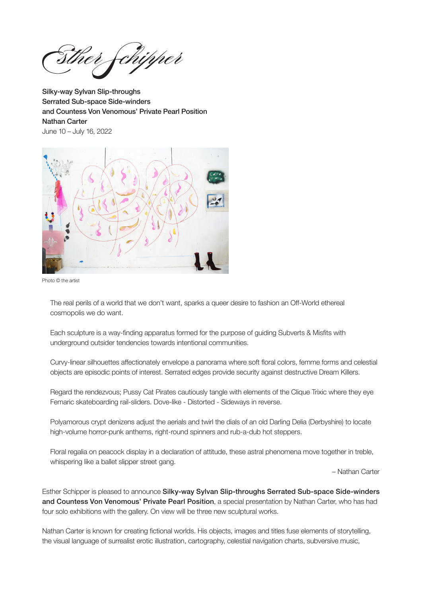Ther fchipper

Silky-way Sylvan Slip-throughs Serrated Sub-space Side-winders and Countess Von Venomous' Private Pearl Position Nathan Carter June 10 – July 16, 2022



Photo © the artist

The real perils of a world that we don't want, sparks a queer desire to fashion an Off-World ethereal cosmopolis we do want.

Each sculpture is a way-finding apparatus formed for the purpose of guiding Subverts & Misfits with underground outsider tendencies towards intentional communities.

Curvy-linear silhouettes affectionately envelope a panorama where soft floral colors, femme forms and celestial objects are episodic points of interest. Serrated edges provide security against destructive Dream Killers.

Regard the rendezvous; Pussy Cat Pirates cautiously tangle with elements of the Clique Trixic where they eye Femaric skateboarding rail-sliders. Dove-like - Distorted - Sideways in reverse.

Polyamorous crypt denizens adjust the aerials and twirl the dials of an old Darling Delia (Derbyshire) to locate high-volume horror-punk anthems, right-round spinners and rub-a-dub hot steppers.

Floral regalia on peacock display in a declaration of attitude, these astral phenomena move together in treble, whispering like a ballet slipper street gang.

– Nathan Carter

Esther Schipper is pleased to announce Silky-way Sylvan Slip-throughs Serrated Sub-space Side-winders and Countess Von Venomous' Private Pearl Position, a special presentation by Nathan Carter, who has had four solo exhibitions with the gallery. On view will be three new sculptural works.

Nathan Carter is known for creating fictional worlds. His objects, images and titles fuse elements of storytelling, the visual language of surrealist erotic illustration, cartography, celestial navigation charts, subversive music,